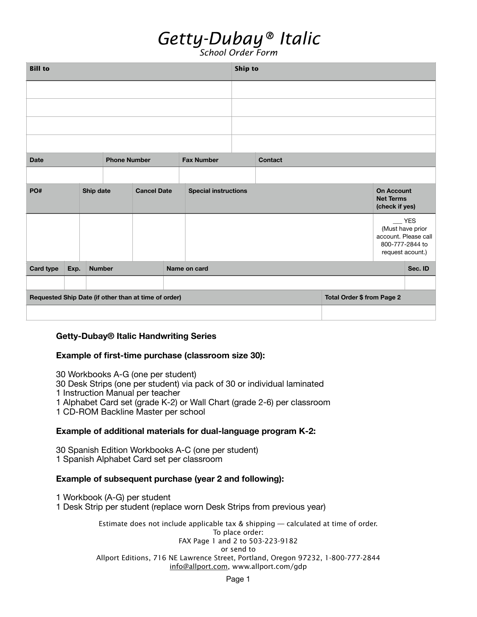## *Getty-Dubay® Italic*

*School Order Form*

| <b>Bill to</b>                                       |      |                    |                     |  |                             |                   |  | Ship to                    |  |                                                         |  |                                                                                            |  |  |
|------------------------------------------------------|------|--------------------|---------------------|--|-----------------------------|-------------------|--|----------------------------|--|---------------------------------------------------------|--|--------------------------------------------------------------------------------------------|--|--|
|                                                      |      |                    |                     |  |                             |                   |  |                            |  |                                                         |  |                                                                                            |  |  |
|                                                      |      |                    |                     |  |                             |                   |  |                            |  |                                                         |  |                                                                                            |  |  |
|                                                      |      |                    |                     |  |                             |                   |  |                            |  |                                                         |  |                                                                                            |  |  |
|                                                      |      |                    |                     |  |                             |                   |  |                            |  |                                                         |  |                                                                                            |  |  |
| <b>Date</b>                                          |      |                    | <b>Phone Number</b> |  |                             | <b>Fax Number</b> |  | <b>Contact</b>             |  |                                                         |  |                                                                                            |  |  |
|                                                      |      |                    |                     |  |                             |                   |  |                            |  |                                                         |  |                                                                                            |  |  |
| Ship date<br>PO#                                     |      | <b>Cancel Date</b> |                     |  | <b>Special instructions</b> |                   |  |                            |  | <b>On Account</b><br><b>Net Terms</b><br>(check if yes) |  |                                                                                            |  |  |
|                                                      |      |                    |                     |  |                             |                   |  |                            |  |                                                         |  | $-$ YES<br>(Must have prior<br>account. Please call<br>800-777-2844 to<br>request acount.) |  |  |
| <b>Card type</b>                                     | Exp. | <b>Number</b>      |                     |  | Name on card                |                   |  |                            |  |                                                         |  | Sec. ID                                                                                    |  |  |
|                                                      |      |                    |                     |  |                             |                   |  |                            |  |                                                         |  |                                                                                            |  |  |
| Requested Ship Date (if other than at time of order) |      |                    |                     |  |                             |                   |  | Total Order \$ from Page 2 |  |                                                         |  |                                                                                            |  |  |
|                                                      |      |                    |                     |  |                             |                   |  |                            |  |                                                         |  |                                                                                            |  |  |

### **Getty-Dubay® Italic Handwriting Series**

#### **Example of first-time purchase (classroom size 30):**

30 Workbooks A-G (one per student) 30 Desk Strips (one per student) via pack of 30 or individual laminated 1 Instruction Manual per teacher 1 Alphabet Card set (grade K-2) or Wall Chart (grade 2-6) per classroom 1 CD-ROM Backline Master per school

#### **Example of additional materials for dual-language program K-2:**

30 Spanish Edition Workbooks A-C (one per student) 1 Spanish Alphabet Card set per classroom

#### **Example of subsequent purchase (year 2 and following):**

1 Workbook (A-G) per student 1 Desk Strip per student (replace worn Desk Strips from previous year)

> Estimate does not include applicable tax & shipping — calculated at time of order. To place order: FAX Page 1 and 2 to 503-223-9182 or send to Allport Editions, 716 NE Lawrence Street, Portland, Oregon 97232, 1-800-777-2844 [info@allport.com](mailto:info@allport.com), [www.allport.com/gdp](http://www.allport.com/gdp)